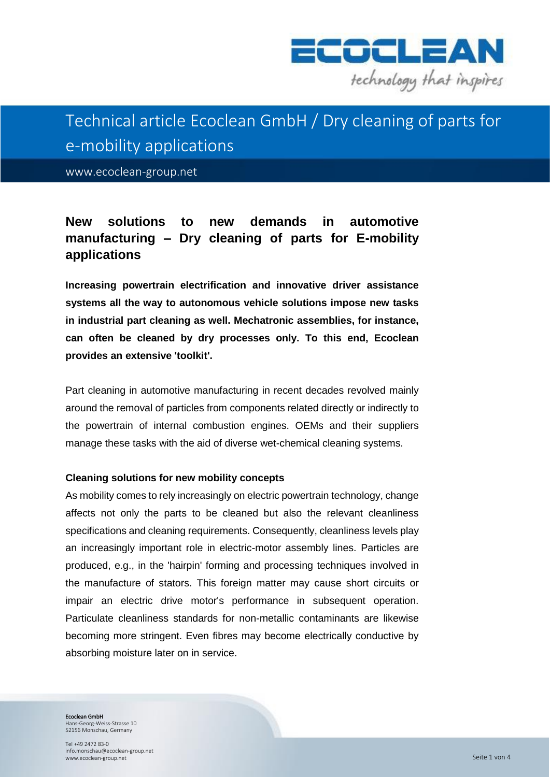

# Technical article Ecoclean GmbH / Dry cleaning of parts for e-mobility applications

www.ecoclean-group.net

# **New solutions to new demands in automotive manufacturing – Dry cleaning of parts for E-mobility applications**

**Increasing powertrain electrification and innovative driver assistance systems all the way to autonomous vehicle solutions impose new tasks in industrial part cleaning as well. Mechatronic assemblies, for instance, can often be cleaned by dry processes only. To this end, Ecoclean provides an extensive 'toolkit'.** 

Part cleaning in automotive manufacturing in recent decades revolved mainly around the removal of particles from components related directly or indirectly to the powertrain of internal combustion engines. OEMs and their suppliers manage these tasks with the aid of diverse wet-chemical cleaning systems.

#### **Cleaning solutions for new mobility concepts**

As mobility comes to rely increasingly on electric powertrain technology, change affects not only the parts to be cleaned but also the relevant cleanliness specifications and cleaning requirements. Consequently, cleanliness levels play an increasingly important role in electric-motor assembly lines. Particles are produced, e.g., in the 'hairpin' forming and processing techniques involved in the manufacture of stators. This foreign matter may cause short circuits or impair an electric drive motor's performance in subsequent operation. Particulate cleanliness standards for non-metallic contaminants are likewise becoming more stringent. Even fibres may become electrically conductive by absorbing moisture later on in service.

Ecoclean GmbH

Hans-Georg-Weiss-Strasse 10 52156 Monschau, Germany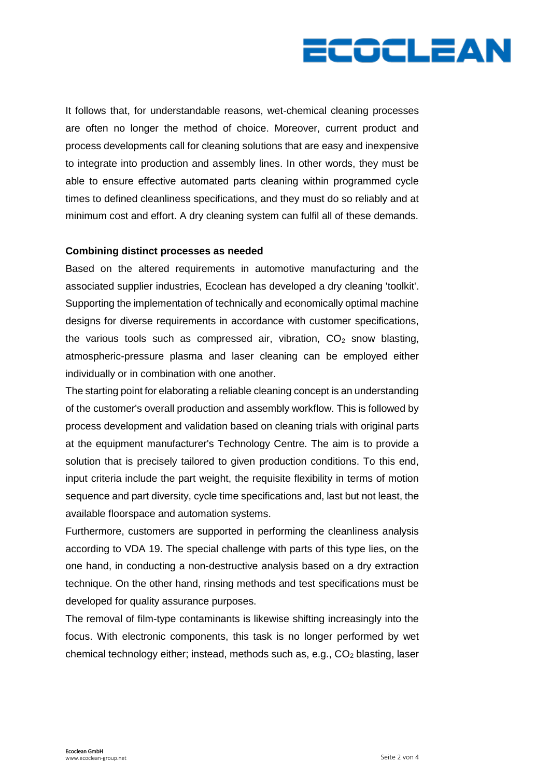

It follows that, for understandable reasons, wet-chemical cleaning processes are often no longer the method of choice. Moreover, current product and process developments call for cleaning solutions that are easy and inexpensive to integrate into production and assembly lines. In other words, they must be able to ensure effective automated parts cleaning within programmed cycle times to defined cleanliness specifications, and they must do so reliably and at minimum cost and effort. A dry cleaning system can fulfil all of these demands.

#### **Combining distinct processes as needed**

Based on the altered requirements in automotive manufacturing and the associated supplier industries, Ecoclean has developed a dry cleaning 'toolkit'. Supporting the implementation of technically and economically optimal machine designs for diverse requirements in accordance with customer specifications, the various tools such as compressed air, vibration,  $CO<sub>2</sub>$  snow blasting, atmospheric-pressure plasma and laser cleaning can be employed either individually or in combination with one another.

The starting point for elaborating a reliable cleaning concept is an understanding of the customer's overall production and assembly workflow. This is followed by process development and validation based on cleaning trials with original parts at the equipment manufacturer's Technology Centre. The aim is to provide a solution that is precisely tailored to given production conditions. To this end, input criteria include the part weight, the requisite flexibility in terms of motion sequence and part diversity, cycle time specifications and, last but not least, the available floorspace and automation systems.

Furthermore, customers are supported in performing the cleanliness analysis according to VDA 19. The special challenge with parts of this type lies, on the one hand, in conducting a non-destructive analysis based on a dry extraction technique. On the other hand, rinsing methods and test specifications must be developed for quality assurance purposes.

The removal of film-type contaminants is likewise shifting increasingly into the focus. With electronic components, this task is no longer performed by wet chemical technology either; instead, methods such as, e.g.,  $CO<sub>2</sub>$  blasting, laser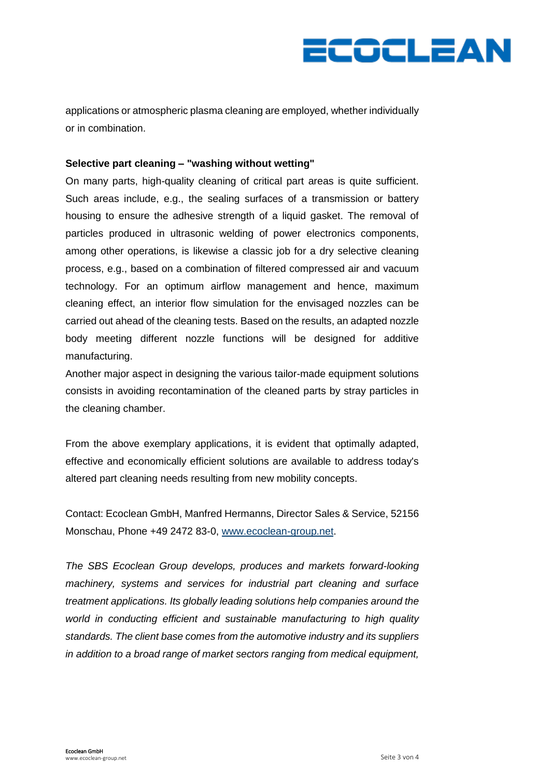

applications or atmospheric plasma cleaning are employed, whether individually or in combination.

## **Selective part cleaning – "washing without wetting"**

On many parts, high-quality cleaning of critical part areas is quite sufficient. Such areas include, e.g., the sealing surfaces of a transmission or battery housing to ensure the adhesive strength of a liquid gasket. The removal of particles produced in ultrasonic welding of power electronics components, among other operations, is likewise a classic job for a dry selective cleaning process, e.g., based on a combination of filtered compressed air and vacuum technology. For an optimum airflow management and hence, maximum cleaning effect, an interior flow simulation for the envisaged nozzles can be carried out ahead of the cleaning tests. Based on the results, an adapted nozzle body meeting different nozzle functions will be designed for additive manufacturing.

Another major aspect in designing the various tailor-made equipment solutions consists in avoiding recontamination of the cleaned parts by stray particles in the cleaning chamber.

From the above exemplary applications, it is evident that optimally adapted, effective and economically efficient solutions are available to address today's altered part cleaning needs resulting from new mobility concepts.

Contact: Ecoclean GmbH, Manfred Hermanns, Director Sales & Service, 52156 Monschau, Phone +49 2472 83-0, [www.ecoclean-group.net.](http://www.ecoclean-group.net/)

*The SBS Ecoclean Group develops, produces and markets forward-looking machinery, systems and services for industrial part cleaning and surface treatment applications. Its globally leading solutions help companies around the world in conducting efficient and sustainable manufacturing to high quality standards. The client base comes from the automotive industry and its suppliers in addition to a broad range of market sectors ranging from medical equipment,*